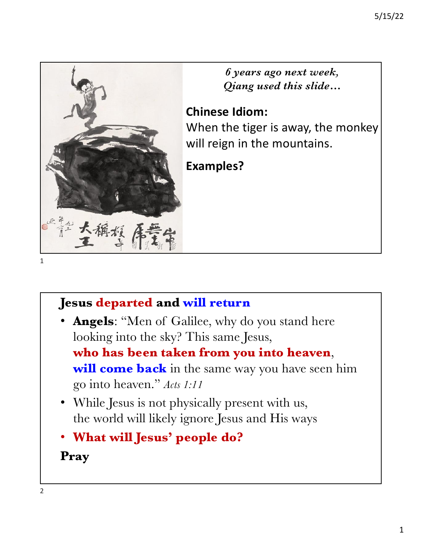

*6 years ago next week, Qiang used this slide…*

### **Chinese Idiom:**

When the tiger is away, the monkey will reign in the mountains.

### **Examples?**

#### 1

## **Jesus departed and will return**

• **Angels**: "Men of Galilee, why do you stand here looking into the sky? This same Jesus,

**who has been taken from you into heaven**,

**will come back** in the same way you have seen him go into heaven." *Acts 1:11*

- While Jesus is not physically present with us, the world will likely ignore Jesus and His ways
- **What will Jesus' people do? Pray**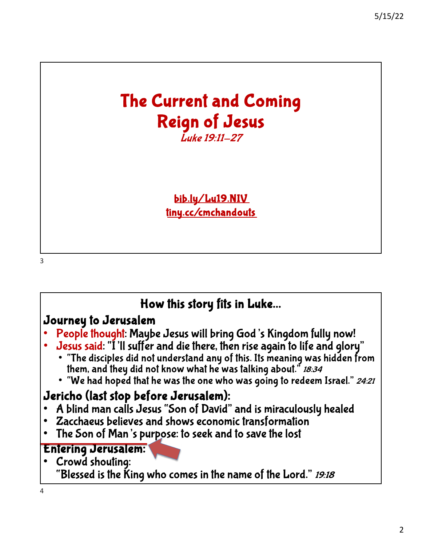# The Current and Coming Reign of Jesus Luke 19:11-27

[bib.ly/L](http://bib.ly/Lu19.NIV)u19.NIV [tiny.cc/cmch](https://tiny.cc/cmchandouts)andouts

3

## How this story fits in Luke…

#### Journey to Jerusalem

- People thought: Maybe Jesus will bring God's Kingdom fully now!
- Jesus said: "I'll suffer and die there, then rise again to life and glory" "The disciples did not understand any of this. Its meaning was hidden from
	- them, and they did not know what he was talking about." 18:34
	- "We had hoped that he was the one who was going to redeem Israel." 24:21

### Jericho (last stop before Jerusalem):

- A blind man calls Jesus "Son of David" and is miraculously healed Zacchaeus believes and shows economic transformation
- 
- The Son of Man's purpose: to seek and to save the lost

#### Entering Jerusalem:

• Crowd shouting: "Blessed is the King who comes in the name of the Lord." 19:18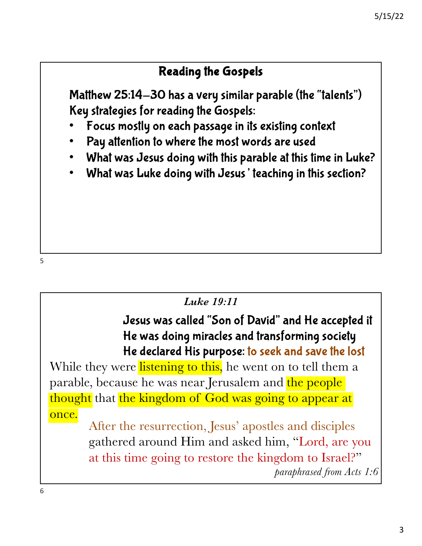### Reading the Gospels

Matthew 25:14-30 has a very similar parable (the "talents") Key strategies for reading the Gospels:

- Focus mostly on each passage in its existing context
- Pay attention to where the most words are used
- What was Jesus doing with this parable at this time in Luke?
- What was Luke doing with Jesus' teaching in this section?

#### *Luke 19:11*

### Jesus was called "Son of David" and He accepted it He was doing miracles and transforming society He declared His purpose: to seek and save the lost

While they were listening to this, he went on to tell them a parable, because he was near Jerusalem and the people thought that the kingdom of God was going to appear at once.

After the resurrection, Jesus' apostles and disciples gathered around Him and asked him, "Lord, are you at this time going to restore the kingdom to Israel?" *paraphrased from Acts 1:6*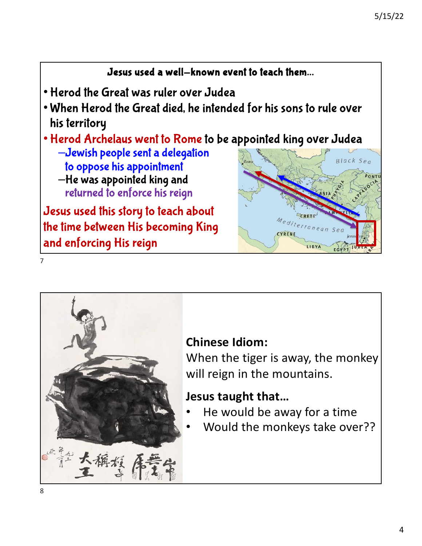#### Jesus used a well-known event to teach them…

- Herod the Great was ruler over Judea
- When Herod the Great died, he intended for his sons to rule over his territory
- Herod Archelaus went to Rome to be appointed king over Judea
	- –Jewish people sent a delegation to oppose his appointment –He was appointed king and returned to enforce his reign

Jesus used this story to teach about the time between His becoming King and enforcing His reign





### **Chinese Idiom:**

When the tiger is away, the monkey will reign in the mountains.

### **Jesus taught that…**

- He would be away for a time
- Would the monkeys take over??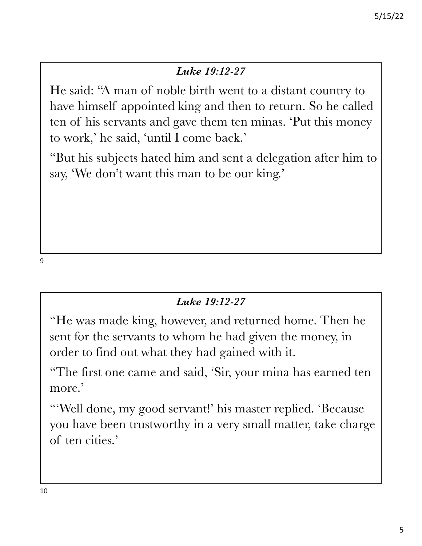#### *Luke 19:12-27*

He said: "A man of noble birth went to a distant country to have himself appointed king and then to return. So he called ten of his servants and gave them ten minas. 'Put this money to work,' he said, 'until I come back.'

"But his subjects hated him and sent a delegation after him to say, 'We don't want this man to be our king.'

9

#### *Luke 19:12-27*

"He was made king, however, and returned home. Then he sent for the servants to whom he had given the money, in order to find out what they had gained with it.

"The first one came and said, 'Sir, your mina has earned ten more.'

"'Well done, my good servant!' his master replied. 'Because you have been trustworthy in a very small matter, take charge of ten cities.'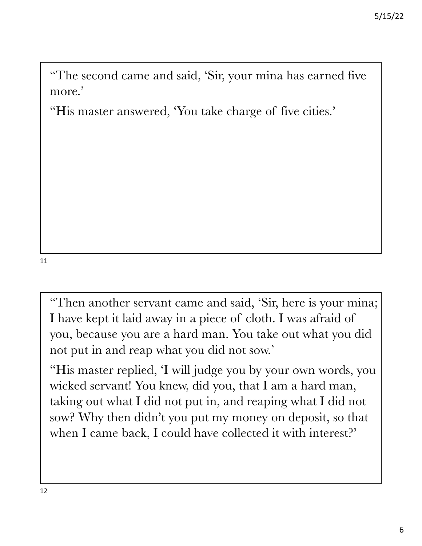"The second came and said, 'Sir, your mina has earned five more.'

"His master answered, 'You take charge of five cities.'

11

"Then another servant came and said, 'Sir, here is your mina; I have kept it laid away in a piece of cloth. I was afraid of you, because you are a hard man. You take out what you did not put in and reap what you did not sow.'

"His master replied, 'I will judge you by your own words, you wicked servant! You knew, did you, that I am a hard man, taking out what I did not put in, and reaping what I did not sow? Why then didn't you put my money on deposit, so that when I came back, I could have collected it with interest?'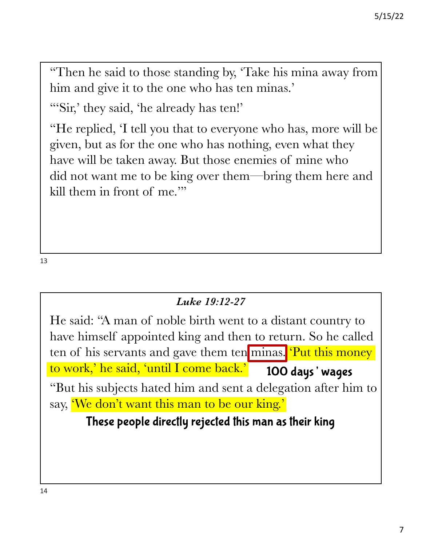"Then he said to those standing by, 'Take his mina away from him and give it to the one who has ten minas.'

"'Sir,' they said, 'he already has ten!'

"He replied, 'I tell you that to everyone who has, more will be given, but as for the one who has nothing, even what they have will be taken away. But those enemies of mine who did not want me to be king over them—bring them here and kill them in front of me."

13

#### *Luke 19:12-27*

He said: "A man of noble birth went to a distant country to have himself appointed king and then to return. So he called ten of his servants and gave them ten minas. 'Put this money to work,' he said, 'until I come back.' "But his subjects hated him and sent a delegation after him to say, 'We don't want this man to be our king.' 100 days' wages

### These people directly rejected this man as their king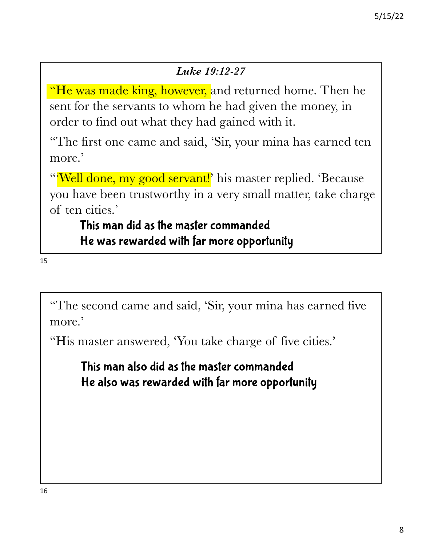#### *Luke 19:12-27*

**He was made king, however, and returned home. Then he** sent for the servants to whom he had given the money, in order to find out what they had gained with it.

"The first one came and said, 'Sir, your mina has earned ten more.'

"Well done, my good servant!' his master replied. 'Because' you have been trustworthy in a very small matter, take charge of ten cities.'

### This man did as the master commanded He was rewarded with far more opportunity

15

"The second came and said, 'Sir, your mina has earned five more.'

"His master answered, 'You take charge of five cities.'

This man also did as the master commanded He also was rewarded with far more opportunity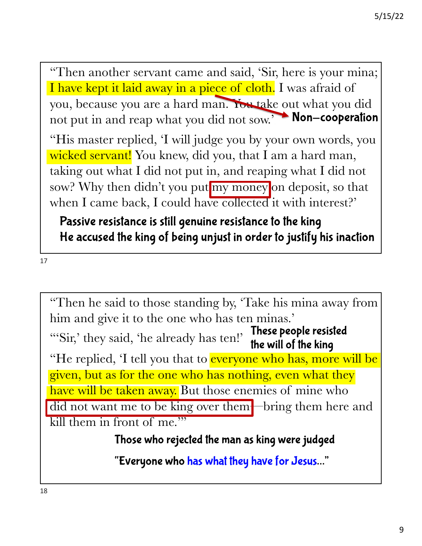"Then another servant came and said, 'Sir, here is your mina; I have kept it laid away in a piece of cloth. I was afraid of you, because you are a hard man. You take out what you did not put in and reap what you did not sow.'<br>Non-cooperation

"His master replied, 'I will judge you by your own words, you wicked servant! You knew, did you, that I am a hard man, taking out what I did not put in, and reaping what I did not sow? Why then didn't you put my money on deposit, so that when I came back, I could have collected it with interest?'

Passive resistance is still genuine resistance to the king He accused the king of being unjust in order to justify his inaction

17

"Then he said to those standing by, 'Take his mina away from him and give it to the one who has ten minas.' "'Sir,' they said, 'he already has ten!' "He replied, 'I tell you that to **everyone who has, more will be** given, but as for the one who has nothing, even what they have will be taken away. But those enemies of mine who did not want me to be king over them—bring them here and kill them in front of me." These people resisted the will of the king

Those who rejected the man as king were judged

"Everyone who has what they have for Jesus…"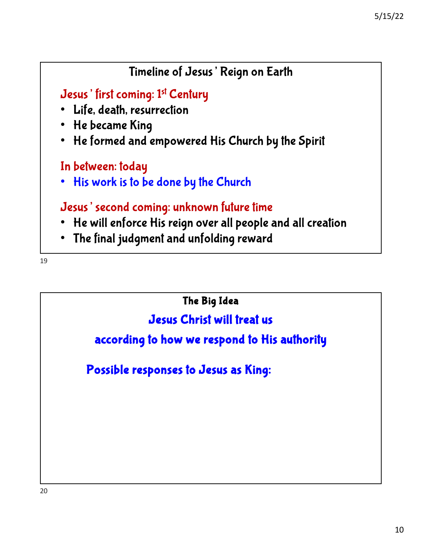# Jesus' first coming: 1st Century • Life, death, resurrection • He became King • He formed and empowered His Church by the Spirit In between: today • His work is to be done by the Church Jesus' second coming: unknown future time • He will enforce His reign over all people and all creation • The final judgment and unfolding reward Timeline of Jesus' Reign on Earth

19

The Big Idea

Jesus Christ will treat us

according to how we respond to His authority

Possible responses to Jesus as King: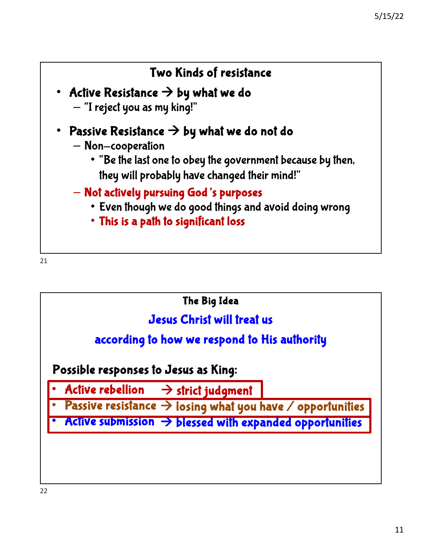

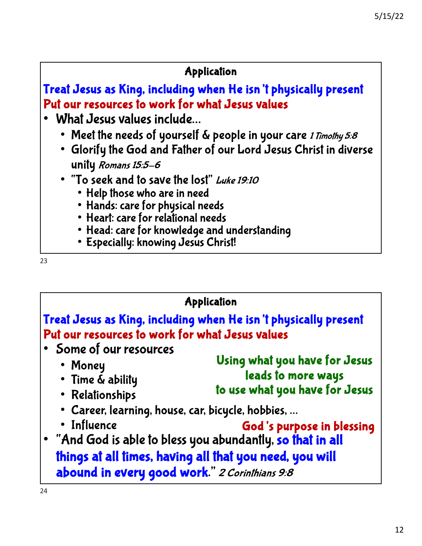#### Application

Treat Jesus as King, including when He isn't physically present Put our resources to work for what Jesus values

- What Jesus values include…
	- Meet the needs of yourself & people in your care 1 Timothy 5:8
	- Glorify the God and Father of our Lord Jesus Christ in diverse unity Romans 15:5-6
	- "To seek and to save the lost" Luke 19:10
		- Help those who are in need
		- Hands: care for physical needs
		- Heart: care for relational needs
		- Head: care for knowledge and understanding
		- Especially: knowing Jesus Christ!